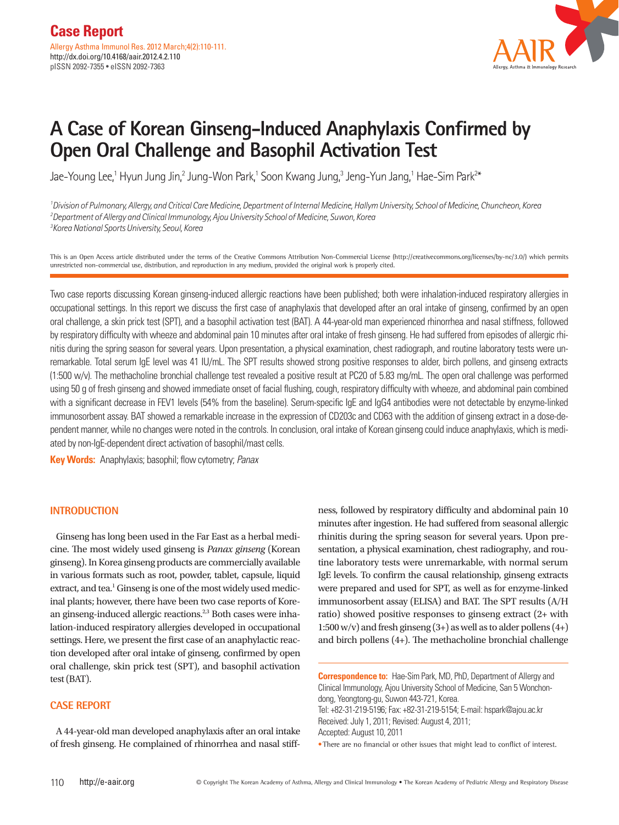

# **A Case of Korean Ginseng-Induced Anaphylaxis Confirmed by Open Oral Challenge and Basophil Activation Test**

Jae-Young Lee,<sup>1</sup> Hyun Jung Jin,<sup>2</sup> Jung-Won Park,<sup>1</sup> Soon Kwang Jung,<sup>3</sup> Jeng-Yun Jang,<sup>1</sup> Hae-Sim Park<sup>2\*</sup>

*1 Division of Pulmonary, Allergy, and Critical Care Medicine, Department of Internal Medicine, Hallym University, School of Medicine, Chuncheon, Korea 2 Department of Allergy and Clinical Immunology, Ajou University School of Medicine, Suwon, Korea 3 Korea National Sports University, Seoul, Korea*

This is an Open Access article distributed under the terms of the Creative Commons Attribution Non-Commercial License (http://creativecommons.org/licenses/by-nc/3.0/) which permits unrestricted non-commercial use, distribution, and reproduction in any medium, provided the original work is properly cited.

Two case reports discussing Korean ginseng-induced allergic reactions have been published; both were inhalation-induced respiratory allergies in occupational settings. In this report we discuss the first case of anaphylaxis that developed after an oral intake of ginseng, confirmed by an open oral challenge, a skin prick test (SPT), and a basophil activation test (BAT). A 44-year-old man experienced rhinorrhea and nasal stiffness, followed by respiratory difficulty with wheeze and abdominal pain 10 minutes after oral intake of fresh ginseng. He had suffered from episodes of allergic rhinitis during the spring season for several years. Upon presentation, a physical examination, chest radiograph, and routine laboratory tests were unremarkable. Total serum IgE level was 41 IU/mL. The SPT results showed strong positive responses to alder, birch pollens, and ginseng extracts (1:500 w/v). The methacholine bronchial challenge test revealed a positive result at PC20 of 5.83 mg/mL. The open oral challenge was performed using 50 g of fresh ginseng and showed immediate onset of facial flushing, cough, respiratory difficulty with wheeze, and abdominal pain combined with a significant decrease in FEV1 levels (54% from the baseline). Serum-specific IgE and IgG4 antibodies were not detectable by enzyme-linked immunosorbent assay. BAT showed a remarkable increase in the expression of CD203c and CD63 with the addition of ginseng extract in a dose-dependent manner, while no changes were noted in the controls. In conclusion, oral intake of Korean ginseng could induce anaphylaxis, which is mediated by non-IgE-dependent direct activation of basophil/mast cells.

**Key Words:** Anaphylaxis; basophil; flow cytometry; *Panax*

### **INTRODUCTION**

Ginseng has long been used in the Far East as a herbal medicine. The most widely used ginseng is *Panax ginseng* (Korean ginseng). In Korea ginseng products are commercially available in various formats such as root, powder, tablet, capsule, liquid extract, and tea.<sup>1</sup> Ginseng is one of the most widely used medicinal plants; however, there have been two case reports of Korean ginseng-induced allergic reactions.<sup>2,3</sup> Both cases were inhalation-induced respiratory allergies developed in occupational settings. Here, we present the first case of an anaphylactic reaction developed after oral intake of ginseng, confirmed by open oral challenge, skin prick test (SPT), and basophil activation test (BAT).

## **CASE REPORT**

A 44-year-old man developed anaphylaxis after an oral intake of fresh ginseng. He complained of rhinorrhea and nasal stiffness, followed by respiratory difficulty and abdominal pain 10 minutes after ingestion. He had suffered from seasonal allergic rhinitis during the spring season for several years. Upon presentation, a physical examination, chest radiography, and routine laboratory tests were unremarkable, with normal serum IgE levels. To confirm the causal relationship, ginseng extracts were prepared and used for SPT, as well as for enzyme-linked immunosorbent assay (ELISA) and BAT. The SPT results (A/H ratio) showed positive responses to ginseng extract (2+ with  $1:500 \,\mathrm{w/v}$  and fresh ginseng  $(3+)$  as well as to alder pollens  $(4+)$ and birch pollens (4+). The methacholine bronchial challenge

**Correspondence to:** Hae-Sim Park, MD, PhD, Department of Allergy and Clinical Immunology, Ajou University School of Medicine, San 5 Wonchondong, Yeongtong-gu, Suwon 443-721, Korea.

Tel: +82-31-219-5196; Fax: +82-31-219-5154; E-mail: hspark@ajou.ac.kr Received: July 1, 2011; Revised: August 4, 2011; Accepted: August 10, 2011

•There are no financial or other issues that might lead to conflict of interest.